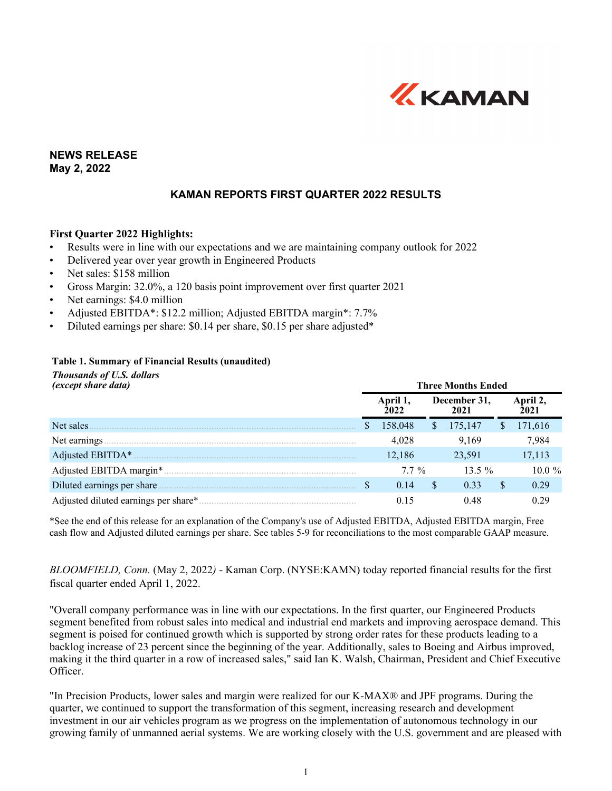

#### **NEWS RELEASE May 2, 2022**

### **KAMAN REPORTS FIRST QUARTER 2022 RESULTS**

#### **First Quarter 2022 Highlights:**

- Results were in line with our expectations and we are maintaining company outlook for 2022
- Delivered year over year growth in Engineered Products
- Net sales: \$158 million
- Gross Margin: 32.0%, a 120 basis point improvement over first quarter 2021
- Net earnings: \$4.0 million
- Adjusted EBITDA\*: \$12.2 million; Adjusted EBITDA margin\*: 7.7%
- Diluted earnings per share: \$0.14 per share, \$0.15 per share adjusted\*

#### **Table 1. Summary of Financial Results (unaudited)**

| Thousands of U.S. dollars<br>(except share data) | <b>Three Months Ended</b> |                  |              |                      |    |                  |  |
|--------------------------------------------------|---------------------------|------------------|--------------|----------------------|----|------------------|--|
|                                                  |                           | April 1,<br>2022 |              | December 31,<br>2021 |    | April 2,<br>2021 |  |
| Net sales                                        |                           | 158,048          | <sup>S</sup> | 175,147              | S. | 171,616          |  |
| Net earnings.                                    |                           | 4,028            |              | 9,169                |    | 7,984            |  |
| Adjusted EBITDA*                                 |                           | 12.186           |              | 23,591               |    | 17,113           |  |
|                                                  |                           | $7.7\%$          |              | $13.5 \%$            |    | $10.0 \%$        |  |
| Diluted earnings per share                       |                           | 0.14             | \$           | 0.33                 | \$ | 0.29             |  |
|                                                  |                           | 0.15             |              | 0.48                 |    | 0.29             |  |

\*See the end of this release for an explanation of the Company's use of Adjusted EBITDA, Adjusted EBITDA margin, Free cash flow and Adjusted diluted earnings per share. See tables 5-9 for reconciliations to the most comparable GAAP measure.

*BLOOMFIELD, Conn.* (May 2, 2022*)* - Kaman Corp. (NYSE:KAMN) today reported financial results for the first fiscal quarter ended April 1, 2022.

"Overall company performance was in line with our expectations. In the first quarter, our Engineered Products segment benefited from robust sales into medical and industrial end markets and improving aerospace demand. This segment is poised for continued growth which is supported by strong order rates for these products leading to a backlog increase of 23 percent since the beginning of the year. Additionally, sales to Boeing and Airbus improved, making it the third quarter in a row of increased sales," said Ian K. Walsh, Chairman, President and Chief Executive Officer.

"In Precision Products, lower sales and margin were realized for our K-MAX® and JPF programs. During the quarter, we continued to support the transformation of this segment, increasing research and development investment in our air vehicles program as we progress on the implementation of autonomous technology in our growing family of unmanned aerial systems. We are working closely with the U.S. government and are pleased with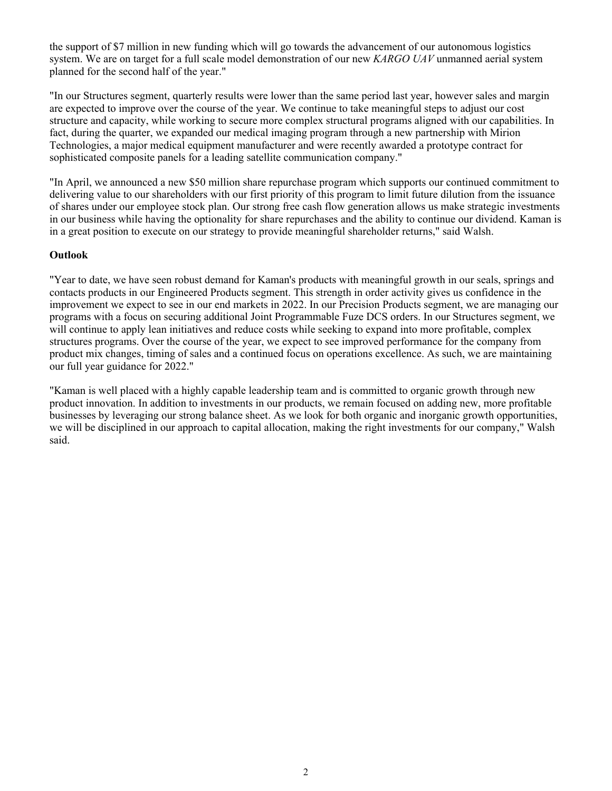the support of \$7 million in new funding which will go towards the advancement of our autonomous logistics system. We are on target for a full scale model demonstration of our new *KARGO UAV* unmanned aerial system planned for the second half of the year."

"In our Structures segment, quarterly results were lower than the same period last year, however sales and margin are expected to improve over the course of the year. We continue to take meaningful steps to adjust our cost structure and capacity, while working to secure more complex structural programs aligned with our capabilities. In fact, during the quarter, we expanded our medical imaging program through a new partnership with Mirion Technologies, a major medical equipment manufacturer and were recently awarded a prototype contract for sophisticated composite panels for a leading satellite communication company."

"In April, we announced a new \$50 million share repurchase program which supports our continued commitment to delivering value to our shareholders with our first priority of this program to limit future dilution from the issuance of shares under our employee stock plan. Our strong free cash flow generation allows us make strategic investments in our business while having the optionality for share repurchases and the ability to continue our dividend. Kaman is in a great position to execute on our strategy to provide meaningful shareholder returns," said Walsh.

#### **Outlook**

"Year to date, we have seen robust demand for Kaman's products with meaningful growth in our seals, springs and contacts products in our Engineered Products segment. This strength in order activity gives us confidence in the improvement we expect to see in our end markets in 2022. In our Precision Products segment, we are managing our programs with a focus on securing additional Joint Programmable Fuze DCS orders. In our Structures segment, we will continue to apply lean initiatives and reduce costs while seeking to expand into more profitable, complex structures programs. Over the course of the year, we expect to see improved performance for the company from product mix changes, timing of sales and a continued focus on operations excellence. As such, we are maintaining our full year guidance for 2022."

"Kaman is well placed with a highly capable leadership team and is committed to organic growth through new product innovation. In addition to investments in our products, we remain focused on adding new, more profitable businesses by leveraging our strong balance sheet. As we look for both organic and inorganic growth opportunities, we will be disciplined in our approach to capital allocation, making the right investments for our company," Walsh said.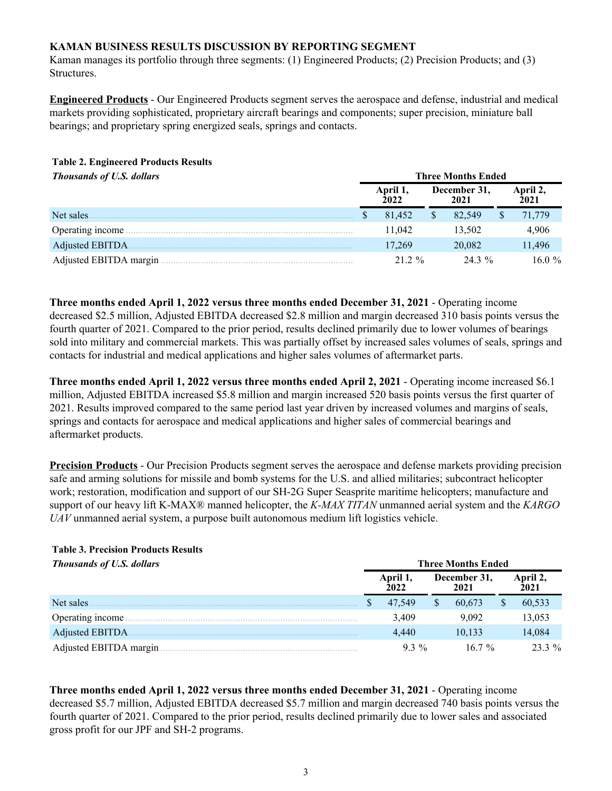## **KAMAN BUSINESS RESULTS DISCUSSION BY REPORTING SEGMENT**

Kaman manages its portfolio through three segments: (1) Engineered Products; (2) Precision Products; and (3) Structures.

**Engineered Products** - Our Engineered Products segment serves the aerospace and defense, industrial and medical markets providing sophisticated, proprietary aircraft bearings and components; super precision, miniature ball bearings; and proprietary spring energized seals, springs and contacts.

#### **Table 2. Engineered Products Results**

| <b>Thousands of U.S. dollars</b> |                  | <b>Three Months Ended</b> |    |                         |  |
|----------------------------------|------------------|---------------------------|----|-------------------------|--|
|                                  | April 1.<br>2022 | December 31,<br>2021      |    | April 2,<br><b>2021</b> |  |
| Net sales.                       | 81.452           | 82.549                    | \$ | 71,779                  |  |
| Operating income.                | 11.042           | 13,502                    |    | 4,906                   |  |
| Adjusted EBITDA                  | 17.269           | 20,082                    |    | 11,496                  |  |
| Adjusted EBITDA margin           | 21.2 %           | $24.3\%$                  |    | 16.0 %                  |  |

**Three months ended April 1, 2022 versus three months ended December 31, 2021** - Operating income decreased \$2.5 million, Adjusted EBITDA decreased \$2.8 million and margin decreased 310 basis points versus the fourth quarter of 2021. Compared to the prior period, results declined primarily due to lower volumes of bearings sold into military and commercial markets. This was partially offset by increased sales volumes of seals, springs and contacts for industrial and medical applications and higher sales volumes of aftermarket parts.

**Three months ended April 1, 2022 versus three months ended April 2, 2021** - Operating income increased \$6.1 million, Adjusted EBITDA increased \$5.8 million and margin increased 520 basis points versus the first quarter of 2021. Results improved compared to the same period last year driven by increased volumes and margins of seals, springs and contacts for aerospace and medical applications and higher sales of commercial bearings and aftermarket products.

**Precision Products** - Our Precision Products segment serves the aerospace and defense markets providing precision safe and arming solutions for missile and bomb systems for the U.S. and allied militaries; subcontract helicopter work; restoration, modification and support of our SH-2G Super Seasprite maritime helicopters; manufacture and support of our heavy lift K-MAX® manned helicopter, the *K-MAX TITAN* unmanned aerial system and the *KARGO UAV* unmanned aerial system, a purpose built autonomous medium lift logistics vehicle.

## **Table 3. Precision Products Results**

| <b>Thousands of U.S. dollars</b> |                  |   | <b>Three Months Ended</b> |                         |          |  |
|----------------------------------|------------------|---|---------------------------|-------------------------|----------|--|
|                                  | April 1.<br>2022 |   | December 31,<br>2021      | April 2,<br><b>2021</b> |          |  |
| Net sales                        | 47.549           | S | 60.673                    | S                       | 60,533   |  |
| Operating income.                | 3.409            |   | 9.092                     |                         | 13,053   |  |
| Adjusted EBITDA                  | 4.440            |   | 10.133                    |                         | 14,084   |  |
| Adjusted EBITDA margin.          | $93\%$           |   | $167\%$                   |                         | $23.3\%$ |  |

**Three months ended April 1, 2022 versus three months ended December 31, 2021** - Operating income decreased \$5.7 million, Adjusted EBITDA decreased \$5.7 million and margin decreased 740 basis points versus the fourth quarter of 2021. Compared to the prior period, results declined primarily due to lower sales and associated gross profit for our JPF and SH-2 programs.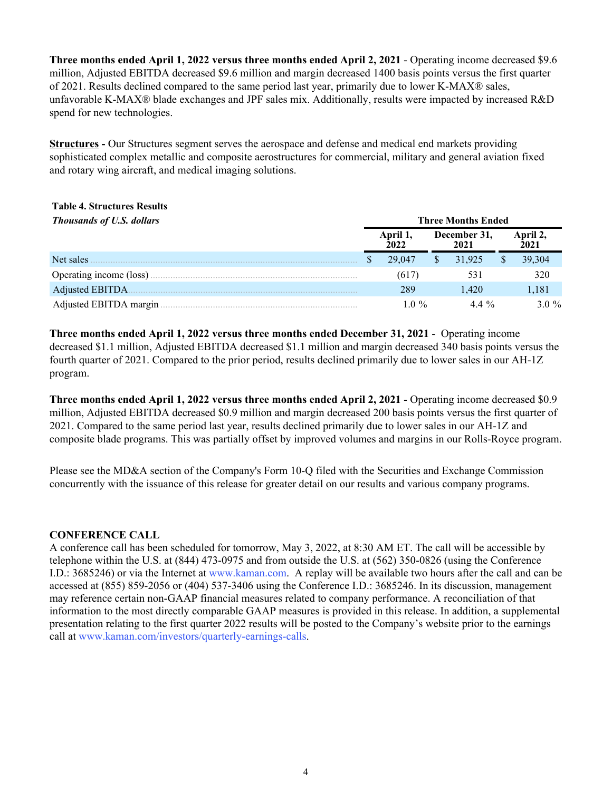**Three months ended April 1, 2022 versus three months ended April 2, 2021** - Operating income decreased \$9.6 million, Adjusted EBITDA decreased \$9.6 million and margin decreased 1400 basis points versus the first quarter of 2021. Results declined compared to the same period last year, primarily due to lower K-MAX® sales, unfavorable K-MAX® blade exchanges and JPF sales mix. Additionally, results were impacted by increased R&D spend for new technologies.

**Structures -** Our Structures segment serves the aerospace and defense and medical end markets providing sophisticated complex metallic and composite aerostructures for commercial, military and general aviation fixed and rotary wing aircraft, and medical imaging solutions.

#### **Table 4. Structures Results**

| <b>Thousands of U.S. dollars</b> |                  |    | <b>Three Months Ended</b> |                         |
|----------------------------------|------------------|----|---------------------------|-------------------------|
|                                  | April 1.<br>2022 |    | December 31,<br>2021      | April 2,<br><b>2021</b> |
| Net sales                        | 29.047           | S. | 31.925                    | 39,304                  |
|                                  | (617)            |    | 531                       | 320                     |
|                                  | 289              |    | 1.420                     | 1.181                   |
|                                  | $10\%$           |    | $44\%$                    | $3.0\%$                 |

**Three months ended April 1, 2022 versus three months ended December 31, 2021** - Operating income decreased \$1.1 million, Adjusted EBITDA decreased \$1.1 million and margin decreased 340 basis points versus the fourth quarter of 2021. Compared to the prior period, results declined primarily due to lower sales in our AH-1Z program.

**Three months ended April 1, 2022 versus three months ended April 2, 2021** - Operating income decreased \$0.9 million, Adjusted EBITDA decreased \$0.9 million and margin decreased 200 basis points versus the first quarter of 2021. Compared to the same period last year, results declined primarily due to lower sales in our AH-1Z and composite blade programs. This was partially offset by improved volumes and margins in our Rolls-Royce program.

Please see the MD&A section of the Company's Form 10-Q filed with the Securities and Exchange Commission concurrently with the issuance of this release for greater detail on our results and various company programs.

#### **CONFERENCE CALL**

A conference call has been scheduled for tomorrow, May 3, 2022, at 8:30 AM ET. The call will be accessible by telephone within the U.S. at (844) 473-0975 and from outside the U.S. at (562) 350-0826 (using the Conference I.D.: 3685246) or via the Internet at www.kaman.com. A replay will be available two hours after the call and can be accessed at (855) 859-2056 or (404) 537-3406 using the Conference I.D.: 3685246. In its discussion, management may reference certain non-GAAP financial measures related to company performance. A reconciliation of that information to the most directly comparable GAAP measures is provided in this release. In addition, a supplemental presentation relating to the first quarter 2022 results will be posted to the Company's website prior to the earnings call at www.kaman.com/investors/quarterly-earnings-calls.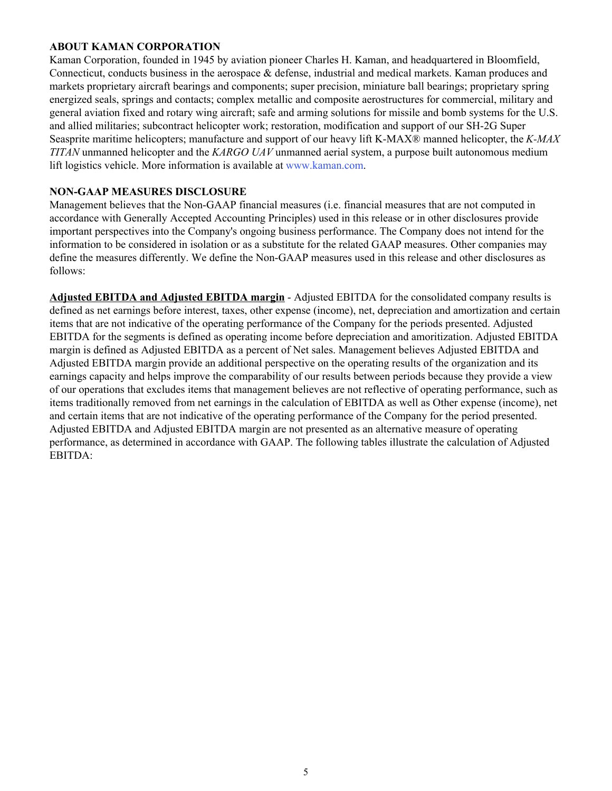### **ABOUT KAMAN CORPORATION**

Kaman Corporation, founded in 1945 by aviation pioneer Charles H. Kaman, and headquartered in Bloomfield, Connecticut, conducts business in the aerospace & defense, industrial and medical markets. Kaman produces and markets proprietary aircraft bearings and components; super precision, miniature ball bearings; proprietary spring energized seals, springs and contacts; complex metallic and composite aerostructures for commercial, military and general aviation fixed and rotary wing aircraft; safe and arming solutions for missile and bomb systems for the U.S. and allied militaries; subcontract helicopter work; restoration, modification and support of our SH-2G Super Seasprite maritime helicopters; manufacture and support of our heavy lift K-MAX® manned helicopter, the *K-MAX TITAN* unmanned helicopter and the *KARGO UAV* unmanned aerial system, a purpose built autonomous medium lift logistics vehicle. More information is available at www.kaman.com.

#### **NON-GAAP MEASURES DISCLOSURE**

Management believes that the Non-GAAP financial measures (i.e. financial measures that are not computed in accordance with Generally Accepted Accounting Principles) used in this release or in other disclosures provide important perspectives into the Company's ongoing business performance. The Company does not intend for the information to be considered in isolation or as a substitute for the related GAAP measures. Other companies may define the measures differently. We define the Non-GAAP measures used in this release and other disclosures as follows:

**Adjusted EBITDA and Adjusted EBITDA margin** - Adjusted EBITDA for the consolidated company results is defined as net earnings before interest, taxes, other expense (income), net, depreciation and amortization and certain items that are not indicative of the operating performance of the Company for the periods presented. Adjusted EBITDA for the segments is defined as operating income before depreciation and amoritization. Adjusted EBITDA margin is defined as Adjusted EBITDA as a percent of Net sales. Management believes Adjusted EBITDA and Adjusted EBITDA margin provide an additional perspective on the operating results of the organization and its earnings capacity and helps improve the comparability of our results between periods because they provide a view of our operations that excludes items that management believes are not reflective of operating performance, such as items traditionally removed from net earnings in the calculation of EBITDA as well as Other expense (income), net and certain items that are not indicative of the operating performance of the Company for the period presented. Adjusted EBITDA and Adjusted EBITDA margin are not presented as an alternative measure of operating performance, as determined in accordance with GAAP. The following tables illustrate the calculation of Adjusted EBITDA: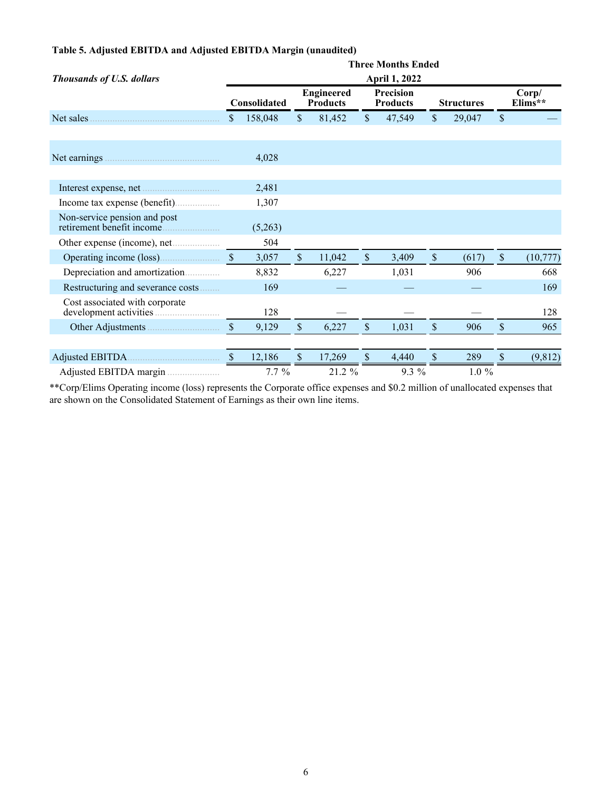|                                                           | <b>Three Months Ended</b><br>April 1, 2022 |         |               |                                      |                           |                              |               |                   |               |                    |  |  |  |
|-----------------------------------------------------------|--------------------------------------------|---------|---------------|--------------------------------------|---------------------------|------------------------------|---------------|-------------------|---------------|--------------------|--|--|--|
| <b>Thousands of U.S. dollars</b>                          |                                            |         |               |                                      |                           |                              |               |                   |               |                    |  |  |  |
|                                                           | <b>Consolidated</b>                        |         |               | <b>Engineered</b><br><b>Products</b> |                           | Precision<br><b>Products</b> |               | <b>Structures</b> |               | Corp/<br>$Elims**$ |  |  |  |
| Net sales                                                 | \$                                         | 158,048 | \$            | 81,452                               | \$                        | 47,549                       | \$            | 29,047            | \$            |                    |  |  |  |
|                                                           |                                            |         |               |                                      |                           |                              |               |                   |               |                    |  |  |  |
| Net earnings                                              |                                            | 4,028   |               |                                      |                           |                              |               |                   |               |                    |  |  |  |
|                                                           |                                            |         |               |                                      |                           |                              |               |                   |               |                    |  |  |  |
|                                                           |                                            | 2,481   |               |                                      |                           |                              |               |                   |               |                    |  |  |  |
|                                                           |                                            | 1,307   |               |                                      |                           |                              |               |                   |               |                    |  |  |  |
| Non-service pension and post<br>retirement benefit income |                                            | (5,263) |               |                                      |                           |                              |               |                   |               |                    |  |  |  |
|                                                           |                                            | 504     |               |                                      |                           |                              |               |                   |               |                    |  |  |  |
|                                                           | <sup>S</sup>                               | 3,057   | $\mathsf{\$}$ | 11,042                               | $\mathcal{S}$             | 3,409                        | $\mathbb{S}$  | (617)             | $\mathcal{S}$ | (10, 777)          |  |  |  |
| Depreciation and amortization                             |                                            | 8,832   |               | 6,227                                |                           | 1,031                        |               | 906               |               | 668                |  |  |  |
| Restructuring and severance costs.                        |                                            | 169     |               |                                      |                           |                              |               |                   |               | 169                |  |  |  |
| Cost associated with corporate                            |                                            | 128     |               |                                      |                           |                              |               |                   |               | 128                |  |  |  |
|                                                           | $\mathcal{S}$                              | 9,129   | \$            | 6,227                                | $\mathsf{\$}$             | 1,031                        | $\mathcal{S}$ | 906               | \$            | 965                |  |  |  |
|                                                           |                                            |         |               |                                      |                           |                              |               |                   |               |                    |  |  |  |
| Adjusted EBITDA                                           | $\mathcal{S}$                              | 12,186  | $\mathsf{\$}$ | 17,269                               | $\boldsymbol{\mathsf{S}}$ | 4,440                        | \$            | 289               | \$            | (9, 812)           |  |  |  |
| Adjusted EBITDA margin                                    |                                            | $7.7\%$ |               | 21.2 %                               |                           | 9.3 %                        |               | $1.0 \%$          |               |                    |  |  |  |

#### **Table 5. Adjusted EBITDA and Adjusted EBITDA Margin (unaudited)**

\*\*Corp/Elims Operating income (loss) represents the Corporate office expenses and \$0.2 million of unallocated expenses that are shown on the Consolidated Statement of Earnings as their own line items.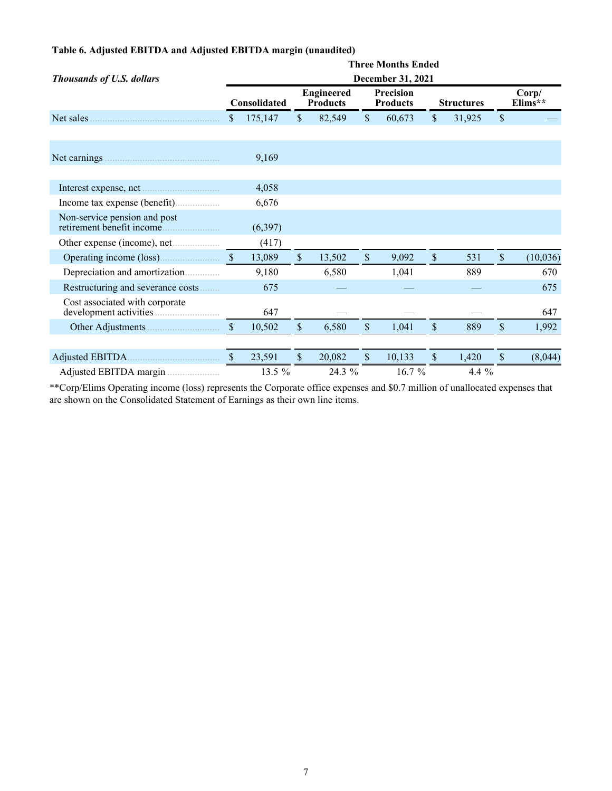|                                                           | <b>Three Months Ended</b> |         |               |                                      |               |                              |               |                   |    |                    |  |  |  |
|-----------------------------------------------------------|---------------------------|---------|---------------|--------------------------------------|---------------|------------------------------|---------------|-------------------|----|--------------------|--|--|--|
| <b>Thousands of U.S. dollars</b>                          | December 31, 2021         |         |               |                                      |               |                              |               |                   |    |                    |  |  |  |
|                                                           | <b>Consolidated</b>       |         |               | <b>Engineered</b><br><b>Products</b> |               | Precision<br><b>Products</b> |               | <b>Structures</b> |    | Corp/<br>$Elims**$ |  |  |  |
| Net sales                                                 | \$                        | 175,147 | \$            | 82,549                               | \$            | 60,673                       | \$            | 31,925            | \$ |                    |  |  |  |
|                                                           |                           |         |               |                                      |               |                              |               |                   |    |                    |  |  |  |
| Net earnings                                              |                           | 9,169   |               |                                      |               |                              |               |                   |    |                    |  |  |  |
|                                                           |                           | 4,058   |               |                                      |               |                              |               |                   |    |                    |  |  |  |
|                                                           |                           | 6,676   |               |                                      |               |                              |               |                   |    |                    |  |  |  |
| Non-service pension and post<br>retirement benefit income |                           | (6,397) |               |                                      |               |                              |               |                   |    |                    |  |  |  |
|                                                           |                           | (417)   |               |                                      |               |                              |               |                   |    |                    |  |  |  |
|                                                           | $\mathbb{S}$              | 13,089  | $\mathsf{\$}$ | 13,502                               | $\mathsf{\$}$ | 9,092                        | $\sqrt{\ }$   | 531               | \$ | (10,036)           |  |  |  |
| Depreciation and amortization                             |                           | 9,180   |               | 6,580                                |               | 1,041                        |               | 889               |    | 670                |  |  |  |
| Restructuring and severance costs.                        |                           | 675     |               |                                      |               |                              |               |                   |    | 675                |  |  |  |
| Cost associated with corporate                            |                           | 647     |               |                                      |               |                              |               |                   |    | 647                |  |  |  |
|                                                           | $\sqrt{\ }$               | 10,502  | \$            | 6,580                                | $\mathsf{\$}$ | 1,041                        | $\mathcal{S}$ | 889               | \$ | 1,992              |  |  |  |
|                                                           |                           |         |               |                                      |               |                              |               |                   |    |                    |  |  |  |
| Adjusted EBITDA                                           | $\mathcal{S}$             | 23,591  | \$            | 20,082                               | $\mathsf{\$}$ | 10,133                       | $\mathcal{S}$ | 1,420             | \$ | (8,044)            |  |  |  |
| Adjusted EBITDA margin                                    |                           | 13.5 %  |               | 24.3 %                               |               | 16.7 %                       |               | 4.4 %             |    |                    |  |  |  |

### **Table 6. Adjusted EBITDA and Adjusted EBITDA margin (unaudited)**

\*\*Corp/Elims Operating income (loss) represents the Corporate office expenses and \$0.7 million of unallocated expenses that are shown on the Consolidated Statement of Earnings as their own line items.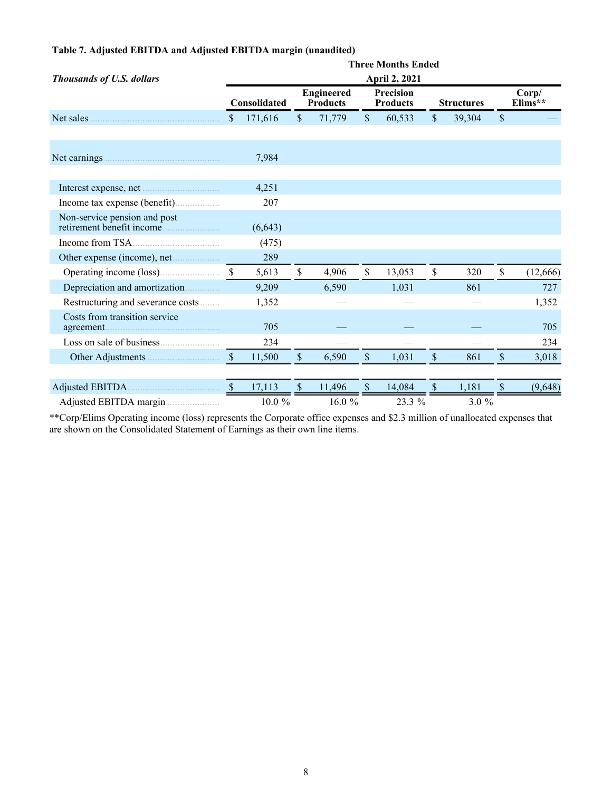|                                                           |               |           |                                      |        |                              | <b>Three Months Ended</b> |              |                   |               |                              |  |  |  |
|-----------------------------------------------------------|---------------|-----------|--------------------------------------|--------|------------------------------|---------------------------|--------------|-------------------|---------------|------------------------------|--|--|--|
| <b>Thousands of U.S. dollars</b>                          | April 2, 2021 |           |                                      |        |                              |                           |              |                   |               |                              |  |  |  |
|                                                           | Consolidated  |           | <b>Engineered</b><br><b>Products</b> |        | Precision<br><b>Products</b> |                           |              | <b>Structures</b> |               | Corp/<br>Elims <sup>**</sup> |  |  |  |
|                                                           | <sup>S</sup>  | 171,616   | $\mathbb{S}$                         | 71,779 | $\mathbb{S}$                 | 60,533                    | $\mathbb{S}$ | 39,304            | $\mathcal{S}$ |                              |  |  |  |
|                                                           |               |           |                                      |        |                              |                           |              |                   |               |                              |  |  |  |
|                                                           |               | 7,984     |                                      |        |                              |                           |              |                   |               |                              |  |  |  |
|                                                           |               | 4,251     |                                      |        |                              |                           |              |                   |               |                              |  |  |  |
|                                                           |               | 207       |                                      |        |                              |                           |              |                   |               |                              |  |  |  |
| Non-service pension and post<br>retirement benefit income |               | (6, 643)  |                                      |        |                              |                           |              |                   |               |                              |  |  |  |
| Income from TSA                                           |               | (475)     |                                      |        |                              |                           |              |                   |               |                              |  |  |  |
|                                                           |               | 289       |                                      |        |                              |                           |              |                   |               |                              |  |  |  |
|                                                           |               | 5,613     | \$                                   | 4,906  | \$                           | 13,053                    | \$           | 320               | \$            | (12,666)                     |  |  |  |
| Depreciation and amortization                             |               | 9,209     |                                      | 6,590  |                              | 1,031                     |              | 861               |               | 727                          |  |  |  |
| Restructuring and severance costs                         |               | 1,352     |                                      |        |                              |                           |              |                   |               | 1,352                        |  |  |  |
| Costs from transition service                             |               | 705       |                                      |        |                              |                           |              |                   |               | 705                          |  |  |  |
|                                                           |               | 234       |                                      |        |                              |                           |              |                   |               | 234                          |  |  |  |
|                                                           |               | 11,500    | $\$$                                 | 6,590  | $\mathsf{\$}$                | 1,031                     | $\$$         | 861               | \$            | 3,018                        |  |  |  |
|                                                           |               |           |                                      |        |                              |                           |              |                   |               |                              |  |  |  |
|                                                           | $\sqrt{S}$    | 17,113    | \$                                   | 11,496 | $\mathsf{\$}$                | 14,084                    | $\sqrt{\ }$  | 1,181             | \$            | (9,648)                      |  |  |  |
| Adjusted EBITDA margin                                    |               | $10.0 \%$ |                                      | 16.0%  |                              | 23.3 %                    |              | 3.0%              |               |                              |  |  |  |

#### **Table 7. Adjusted EBITDA and Adjusted EBITDA margin (unaudited)**

\*\*Corp/Elims Operating income (loss) represents the Corporate office expenses and \$2.3 million of unallocated expenses that are shown on the Consolidated Statement of Earnings as their own line items.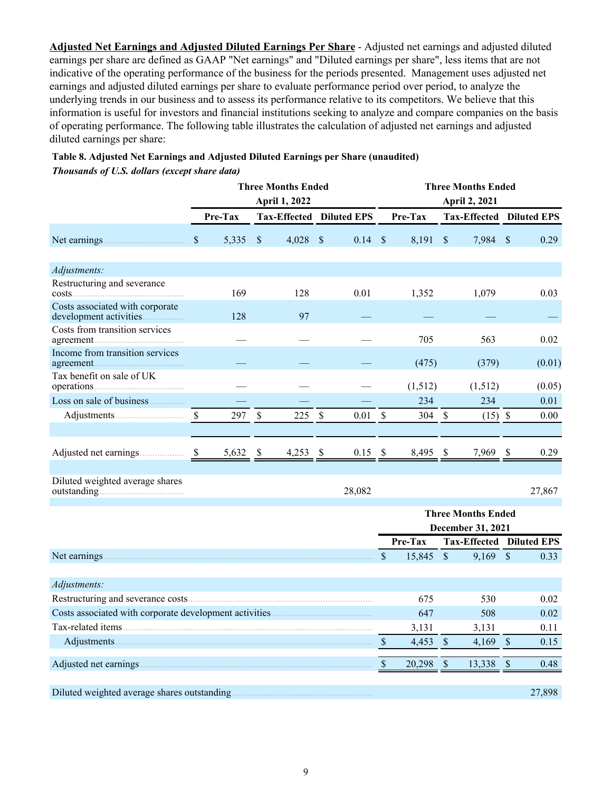**Adjusted Net Earnings and Adjusted Diluted Earnings Per Share** - Adjusted net earnings and adjusted diluted earnings per share are defined as GAAP "Net earnings" and "Diluted earnings per share", less items that are not indicative of the operating performance of the business for the periods presented. Management uses adjusted net earnings and adjusted diluted earnings per share to evaluate performance period over period, to analyze the underlying trends in our business and to assess its performance relative to its competitors. We believe that this information is useful for investors and financial institutions seeking to analyze and compare companies on the basis of operating performance. The following table illustrates the calculation of adjusted net earnings and adjusted diluted earnings per share:

# **Table 8. Adjusted Net Earnings and Adjusted Diluted Earnings per Share (unaudited)**

*Thousands of U.S. dollars (except share data)*

|                                                           |               |         |               | <b>Three Months Ended</b> |               |               | <b>Three Months Ended</b>                      |            |               |                                 |               |        |  |  |
|-----------------------------------------------------------|---------------|---------|---------------|---------------------------|---------------|---------------|------------------------------------------------|------------|---------------|---------------------------------|---------------|--------|--|--|
|                                                           | April 1, 2022 |         |               |                           |               | April 2, 2021 |                                                |            |               |                                 |               |        |  |  |
|                                                           |               | Pre-Tax |               | Tax-Effected Diluted EPS  |               |               |                                                | Pre-Tax    |               | Tax-Effected Diluted EPS        |               |        |  |  |
|                                                           | $\mathbb S$   | 5,335   | $\mathbb S$   | $4,028$ \$                |               | $0.14$ \$     |                                                | 8,191      | $\mathcal{S}$ | 7,984 \$                        |               | 0.29   |  |  |
| Adjustments:                                              |               |         |               |                           |               |               |                                                |            |               |                                 |               |        |  |  |
| Restructuring and severance                               |               | 169     |               | 128                       |               | 0.01          |                                                | 1,352      |               | 1,079                           |               | 0.03   |  |  |
| Costs associated with corporate<br>development activities |               | 128     |               | 97                        |               |               |                                                |            |               |                                 |               |        |  |  |
| Costs from transition services                            |               |         |               |                           |               |               |                                                | 705        |               | 563                             |               | 0.02   |  |  |
| Income from transition services<br>agreement.             |               |         |               |                           |               |               |                                                | (475)      |               | (379)                           |               | (0.01) |  |  |
| Tax benefit on sale of UK                                 |               |         |               |                           |               |               |                                                | (1,512)    |               | (1,512)                         |               | (0.05) |  |  |
| Loss on sale of business                                  |               |         |               |                           |               |               |                                                | 234        |               | 234                             |               | 0.01   |  |  |
|                                                           | $\mathcal{S}$ | 297     | $\mathsf{\$}$ | 225                       | $\mathcal{S}$ | 0.01          | $\mathcal{S}$                                  | 304 \$     |               | $(15)$ \$                       |               | 0.00   |  |  |
|                                                           |               |         |               |                           |               |               |                                                |            |               |                                 |               |        |  |  |
|                                                           | S.            | 5,632   | - \$          | 4,253                     | - \$          | $0.15 - $$    |                                                | $8,495$ \$ |               | 7,969                           | -S            | 0.29   |  |  |
| Diluted weighted average shares                           |               |         |               |                           |               | 28,082        |                                                |            |               |                                 |               | 27,867 |  |  |
|                                                           |               |         |               |                           |               |               | <b>Three Months Ended</b><br>December 31, 2021 |            |               |                                 |               |        |  |  |
|                                                           |               |         |               |                           |               |               |                                                | Pre-Tax    |               | <b>Tax-Effected Diluted EPS</b> |               |        |  |  |
|                                                           |               |         |               |                           |               |               | $\mathcal{S}$                                  | 15,845     | $\mathcal{S}$ | 9,169                           | $\mathcal{S}$ | 0.33   |  |  |
| Adjustments:                                              |               |         |               |                           |               |               |                                                |            |               |                                 |               |        |  |  |
|                                                           |               |         |               |                           |               |               |                                                | 675        |               | 530                             |               | 0.02   |  |  |
|                                                           |               |         |               |                           |               |               |                                                | 647        |               | 508                             |               | 0.02   |  |  |
|                                                           |               |         |               |                           |               |               |                                                | 3,131      |               | 3,131                           |               | 0.11   |  |  |
|                                                           |               |         |               |                           |               |               | $\sqrt{\frac{2}{5}}$                           | 4,453      | $\sqrt{\ }$   | 4,169                           | $\mathcal{S}$ | 0.15   |  |  |
|                                                           |               |         |               |                           |               |               | $\mathbb{S}$                                   | 20,298     | $\sqrt{3}$    | 13,338                          | $\mathcal{S}$ | 0.48   |  |  |
|                                                           |               |         |               |                           |               |               |                                                |            |               |                                 |               | 27,898 |  |  |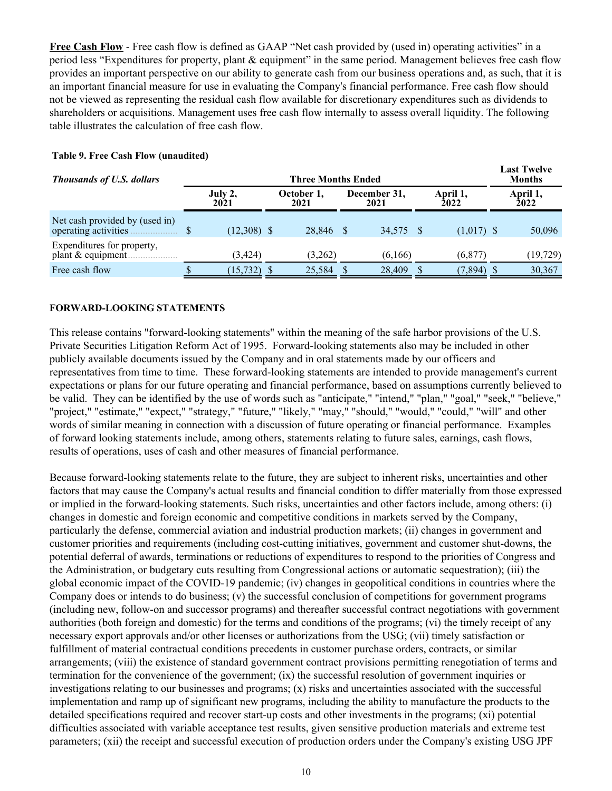**Free Cash Flow** - Free cash flow is defined as GAAP "Net cash provided by (used in) operating activities" in a period less "Expenditures for property, plant & equipment" in the same period. Management believes free cash flow provides an important perspective on our ability to generate cash from our business operations and, as such, that it is an important financial measure for use in evaluating the Company's financial performance. Free cash flow should not be viewed as representing the residual cash flow available for discretionary expenditures such as dividends to shareholders or acquisitions. Management uses free cash flow internally to assess overall liquidity. The following table illustrates the calculation of free cash flow.

#### **Table 9. Free Cash Flow (unaudited)**

| <b>Thousands of U.S. dollars</b>                        |  |                 | <b>Last Twelve</b><br><b>Months</b> |                      |           |  |                  |                  |
|---------------------------------------------------------|--|-----------------|-------------------------------------|----------------------|-----------|--|------------------|------------------|
|                                                         |  | July 2,<br>2021 | October 1,<br>2021                  | December 31,<br>2021 |           |  | April 1,<br>2022 | April 1,<br>2022 |
| Net cash provided by (used in)<br>operating activities. |  | $(12,308)$ \$   | 28,846 \$                           |                      | 34.575 \$ |  | $(1,017)$ \$     | 50,096           |
| Expenditures for property,<br>plant & equipment.        |  | (3, 424)        | (3,262)                             |                      | (6,166)   |  | (6,877)          | (19, 729)        |
| Free cash flow                                          |  | (15, 732)       | 25,584                              |                      | 28,409    |  | (7,894)          | 30,367           |

## **FORWARD-LOOKING STATEMENTS**

This release contains "forward-looking statements" within the meaning of the safe harbor provisions of the U.S. Private Securities Litigation Reform Act of 1995. Forward-looking statements also may be included in other publicly available documents issued by the Company and in oral statements made by our officers and representatives from time to time. These forward-looking statements are intended to provide management's current expectations or plans for our future operating and financial performance, based on assumptions currently believed to be valid. They can be identified by the use of words such as "anticipate," "intend," "plan," "goal," "seek," "believe," "project," "estimate," "expect," "strategy," "future," "likely," "may," "should," "would," "could," "will" and other words of similar meaning in connection with a discussion of future operating or financial performance. Examples of forward looking statements include, among others, statements relating to future sales, earnings, cash flows, results of operations, uses of cash and other measures of financial performance.

Because forward-looking statements relate to the future, they are subject to inherent risks, uncertainties and other factors that may cause the Company's actual results and financial condition to differ materially from those expressed or implied in the forward-looking statements. Such risks, uncertainties and other factors include, among others: (i) changes in domestic and foreign economic and competitive conditions in markets served by the Company, particularly the defense, commercial aviation and industrial production markets; (ii) changes in government and customer priorities and requirements (including cost-cutting initiatives, government and customer shut-downs, the potential deferral of awards, terminations or reductions of expenditures to respond to the priorities of Congress and the Administration, or budgetary cuts resulting from Congressional actions or automatic sequestration); (iii) the global economic impact of the COVID-19 pandemic; (iv) changes in geopolitical conditions in countries where the Company does or intends to do business; (v) the successful conclusion of competitions for government programs (including new, follow-on and successor programs) and thereafter successful contract negotiations with government authorities (both foreign and domestic) for the terms and conditions of the programs; (vi) the timely receipt of any necessary export approvals and/or other licenses or authorizations from the USG; (vii) timely satisfaction or fulfillment of material contractual conditions precedents in customer purchase orders, contracts, or similar arrangements; (viii) the existence of standard government contract provisions permitting renegotiation of terms and termination for the convenience of the government; (ix) the successful resolution of government inquiries or investigations relating to our businesses and programs;  $(x)$  risks and uncertainties associated with the successful implementation and ramp up of significant new programs, including the ability to manufacture the products to the detailed specifications required and recover start-up costs and other investments in the programs; (xi) potential difficulties associated with variable acceptance test results, given sensitive production materials and extreme test parameters; (xii) the receipt and successful execution of production orders under the Company's existing USG JPF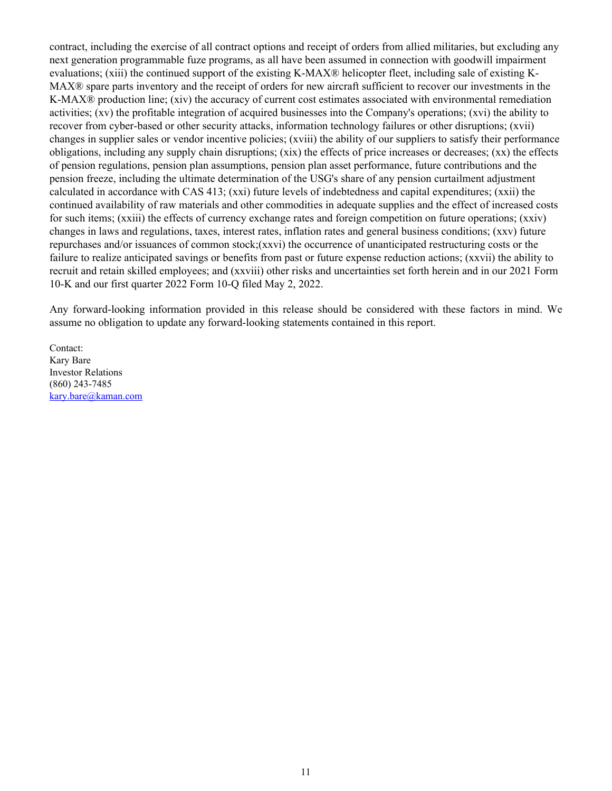contract, including the exercise of all contract options and receipt of orders from allied militaries, but excluding any next generation programmable fuze programs, as all have been assumed in connection with goodwill impairment evaluations; (xiii) the continued support of the existing K-MAX® helicopter fleet, including sale of existing K-MAX® spare parts inventory and the receipt of orders for new aircraft sufficient to recover our investments in the K-MAX® production line; (xiv) the accuracy of current cost estimates associated with environmental remediation activities; (xv) the profitable integration of acquired businesses into the Company's operations; (xvi) the ability to recover from cyber-based or other security attacks, information technology failures or other disruptions; (xvii) changes in supplier sales or vendor incentive policies; (xviii) the ability of our suppliers to satisfy their performance obligations, including any supply chain disruptions; (xix) the effects of price increases or decreases; (xx) the effects of pension regulations, pension plan assumptions, pension plan asset performance, future contributions and the pension freeze, including the ultimate determination of the USG's share of any pension curtailment adjustment calculated in accordance with CAS 413; (xxi) future levels of indebtedness and capital expenditures; (xxii) the continued availability of raw materials and other commodities in adequate supplies and the effect of increased costs for such items; (xxiii) the effects of currency exchange rates and foreign competition on future operations; (xxiv) changes in laws and regulations, taxes, interest rates, inflation rates and general business conditions; (xxv) future repurchases and/or issuances of common stock;(xxvi) the occurrence of unanticipated restructuring costs or the failure to realize anticipated savings or benefits from past or future expense reduction actions; (xxvii) the ability to recruit and retain skilled employees; and (xxviii) other risks and uncertainties set forth herein and in our 2021 Form 10-K and our first quarter 2022 Form 10-Q filed May 2, 2022.

Any forward-looking information provided in this release should be considered with these factors in mind. We assume no obligation to update any forward-looking statements contained in this report.

Contact: Kary Bare Investor Relations (860) 243-7485 kary.bare@kaman.com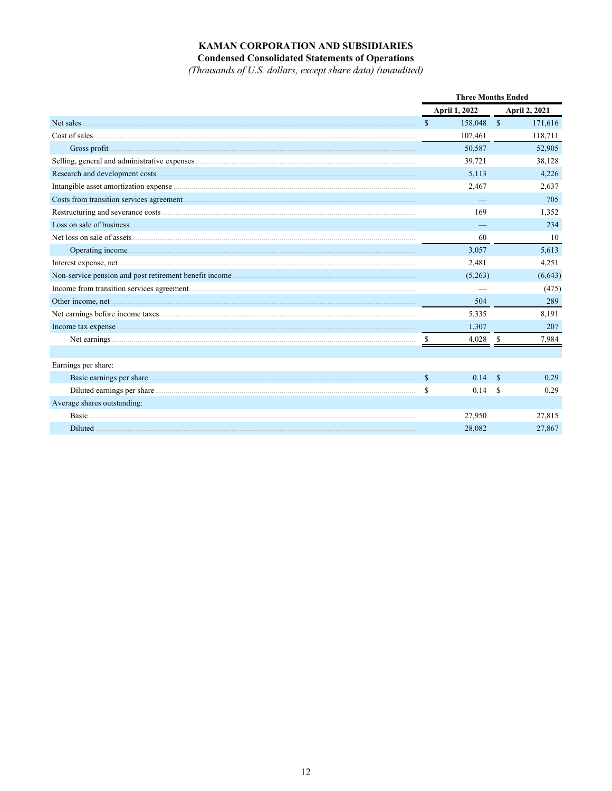## KAMAN CORPORATION AND SUBSIDIARIES

**Condensed Consolidated Statements of Operations** 

(Thousands of U.S. dollars, except share data) (unaudited)

|                                                                       | <b>Three Months Ended</b> |               |               |                      |  |  |
|-----------------------------------------------------------------------|---------------------------|---------------|---------------|----------------------|--|--|
|                                                                       |                           | April 1, 2022 |               | <b>April 2, 2021</b> |  |  |
| Net sales                                                             | $\mathcal{S}$             | 158,048       | $\mathcal{S}$ | 171,616              |  |  |
|                                                                       |                           | 107,461       |               | 118,711              |  |  |
|                                                                       |                           | 50,587        |               | 52,905               |  |  |
|                                                                       |                           | 39,721        |               | 38,128               |  |  |
|                                                                       |                           | 5,113         |               | 4,226                |  |  |
|                                                                       |                           | 2,467         |               | 2,637                |  |  |
|                                                                       |                           |               |               | 705                  |  |  |
|                                                                       |                           | 169           |               | 1,352                |  |  |
|                                                                       |                           |               |               | 234                  |  |  |
|                                                                       |                           | 60            |               | 10                   |  |  |
|                                                                       |                           | 3,057         |               | 5,613                |  |  |
|                                                                       |                           | 2,481         |               | 4,251                |  |  |
|                                                                       |                           | (5,263)       |               | (6,643)              |  |  |
|                                                                       |                           |               |               | (475)                |  |  |
|                                                                       |                           | 504           |               | 289                  |  |  |
|                                                                       |                           | 5,335         |               | 8,191                |  |  |
|                                                                       |                           | 1,307         |               | 207                  |  |  |
|                                                                       | S.                        | 4,028         | - \$          | 7,984                |  |  |
|                                                                       |                           |               |               |                      |  |  |
| Earnings per share:                                                   |                           |               |               |                      |  |  |
|                                                                       | <sup>\$</sup>             | 0.14          | <sup>\$</sup> | 0.29                 |  |  |
|                                                                       |                           | 0.14          | S             | 0.29                 |  |  |
| Average shares outstanding:                                           |                           |               |               |                      |  |  |
| Basic <u>Communication and the communication of the communication</u> |                           | 27,950        |               | 27,815               |  |  |
|                                                                       |                           | 28,082        |               | 27,867               |  |  |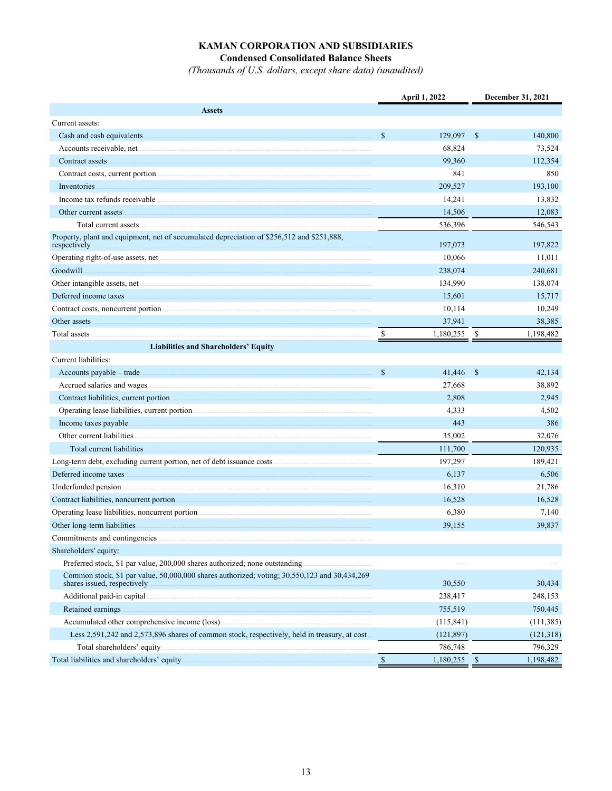# KAMAN CORPORATION AND SUBSIDIARIES

**Condensed Consolidated Balance Sheets** 

(Thousands of U.S. dollars, except share data) (unaudited)

|                                                                                                                              |                      | April 1, 2022 |              | December 31, 2021 |
|------------------------------------------------------------------------------------------------------------------------------|----------------------|---------------|--------------|-------------------|
| <b>Assets</b>                                                                                                                |                      |               |              |                   |
| Current assets:                                                                                                              |                      |               |              |                   |
|                                                                                                                              | $\mathbb{S}$         | 129,097       | $\mathbb{S}$ | 140,800           |
|                                                                                                                              |                      | 68,824        |              | 73,524            |
|                                                                                                                              |                      | 99,360        |              | 112,354           |
|                                                                                                                              |                      | 841           |              | 850               |
| Inventories.                                                                                                                 |                      | 209,527       |              | 193,100           |
|                                                                                                                              |                      | 14,241        |              | 13,832            |
|                                                                                                                              |                      | 14,506        |              | 12,083            |
|                                                                                                                              |                      | 536,396       |              | 546,543           |
| Property, plant and equipment, net of accumulated depreciation of \$256,512 and \$251,888,<br>respectively.                  |                      | 197,073       |              | 197,822           |
|                                                                                                                              |                      | 10,066        |              | 11,011            |
|                                                                                                                              |                      | 238,074       |              | 240,681           |
|                                                                                                                              |                      | 134,990       |              | 138,074           |
|                                                                                                                              |                      | 15,601        |              | 15,717            |
|                                                                                                                              |                      | 10,114        |              | 10,249            |
|                                                                                                                              |                      | 37,941        |              | 38,385            |
|                                                                                                                              | $\sqrt{\frac{1}{2}}$ | 1,180,255     | -S           | 1,198,482         |
| <b>Liabilities and Shareholders' Equity</b>                                                                                  |                      |               |              |                   |
| Current liabilities:                                                                                                         |                      |               |              |                   |
|                                                                                                                              | $\mathbb{S}$         | 41,446        | $\mathbb{S}$ | 42,134            |
|                                                                                                                              |                      | 27,668        |              | 38,892            |
|                                                                                                                              |                      | 2,808         |              | 2,945             |
|                                                                                                                              |                      | 4,333         |              | 4,502             |
|                                                                                                                              |                      | 443           |              | 386               |
|                                                                                                                              |                      | 35,002        |              | 32,076            |
|                                                                                                                              |                      | 111,700       |              | 120,935           |
|                                                                                                                              |                      | 197,297       |              | 189,421           |
|                                                                                                                              |                      | 6,137         |              | 6,506             |
|                                                                                                                              |                      | 16,310        |              | 21,786            |
|                                                                                                                              |                      | 16,528        |              | 16,528            |
|                                                                                                                              |                      | 6,380         |              | 7,140             |
|                                                                                                                              |                      | 39,155        |              | 39,837            |
|                                                                                                                              |                      |               |              |                   |
| Shareholders' equity:                                                                                                        |                      |               |              |                   |
|                                                                                                                              |                      |               |              |                   |
| Common stock, \$1 par value, 50,000,000 shares authorized; voting; 30,550,123 and 30,434,269<br>shares issued, respectively. |                      | 30,550        |              | 30,434            |
|                                                                                                                              |                      | 238,417       |              | 248,153           |
| Retained earnings                                                                                                            |                      | 755,519       |              | 750,445           |
|                                                                                                                              |                      | (115, 841)    |              | (111, 385)        |
| Less 2,591,242 and 2,573,896 shares of common stock, respectively, held in treasury, at cost                                 |                      | (121, 897)    |              | (121, 318)        |
|                                                                                                                              |                      | 786,748       |              | 796,329           |
|                                                                                                                              | $\mathbb{S}$         | 1,180,255     | \$           | 1,198,482         |